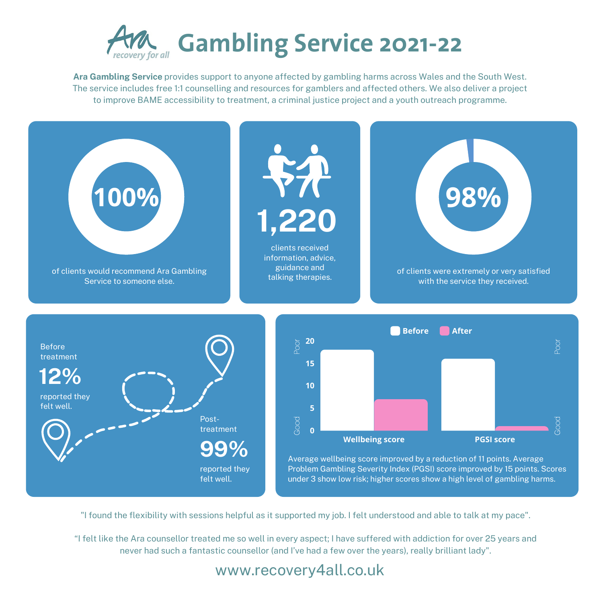

**Ara Gambling Service** provides support to anyone affected by gambling harms across Wales and the South West. The service includes free 1:1 counselling and resources for gamblers and affected others. We also deliver a project to improve BAME accessibility to treatment, a criminal justice project and a youth outreach programme.

## www.recovery4all.co.uk

"I found the flexibility with sessions helpful as it supported my job. I felt understood and able to talk at my pace".

"I felt like the Ara counsellor treated me so well in every aspect; I have suffered with addiction for over 25 years and never had such a fantastic counsellor (and I've had a few over the years), really brilliant lady".

 $\cap$  . o  $\cap$  . o





Before treatment